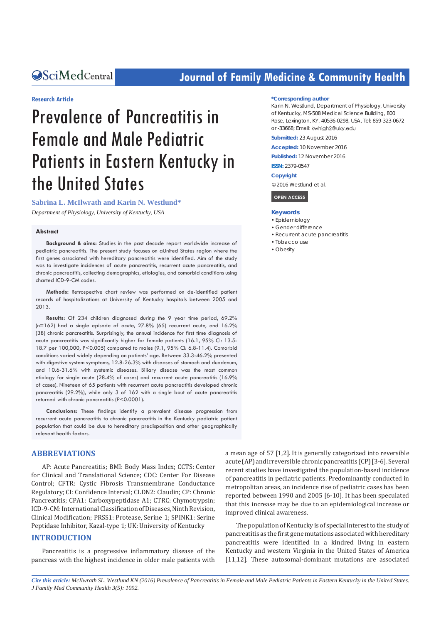# **CALCERT CONFIDENTIAL CONTROLLER COMMUNITY Health**

#### **Research Article**

# Prevalence of Pancreatitis in Female and Male Pediatric Patients in Eastern Kentucky in the United States

**Sabrina L. McIlwrath and Karin N. Westlund\*** 

*Department of Physiology, University of Kentucky, USA* 

#### **Abstract**

**Background & aims:** Studies in the past decade report worldwide increase of pediatric pancreatitis. The present study focuses on aUnited States region where the first genes associated with hereditary pancreatitis were identified. Aim of the study was to investigate incidences of acute pancreatitis, recurrent acute pancreatitis, and chronic pancreatitis, collecting demographics, etiologies, and comorbid conditions using charted ICD-9-CM codes.

**Methods:** Retrospective chart review was performed on de-identified patient records of hospitalizations at University of Kentucky hospitals between 2005 and 2013.

**Results:** Of 234 children diagnosed during the 9 year time period, 69.2% (n=162) had a single episode of acute, 27.8% (65) recurrent acute, and 16.2% (38) chronic pancreatitis. Surprisingly, the annual incidence for first time diagnosis of acute pancreatitis was significantly higher for female patients (16.1, 95% CI: 13.5- 18.7 per 100,000, P<0.005) compared to males (9.1, 95% CI: 6.8-11.4). Comorbid conditions varied widely depending on patients' age. Between 33.3-46.2% presented with digestive system symptoms, 12.8-26.3% with diseases of stomach and duodenum, and 10.6-31.6% with systemic diseases. Biliary disease was the most common etiology for single acute (28.4% of cases) and recurrent acute pancreatitis (16.9% of cases). Nineteen of 65 patients with recurrent acute pancreatitis developed chronic pancreatitis (29.2%), while only 3 of 162 with a single bout of acute pancreatitis returned with chronic pancreatitis (P<0.0001).

**Conclusions:** These findings identify a prevalent disease progression from recurrent acute pancreatitis to chronic pancreatitis in the Kentucky pediatric patient population that could be due to hereditary predisposition and other geographically relevant health factors.

#### **ABBREVIATIONS**

AP: Acute Pancreatitis; BMI: Body Mass Index; CCTS: Center for Clinical and Translational Science; CDC: Center For Disease Control; CFTR: Cystic Fibrosis Transmembrane Conductance Regulatory; CI: Confidence Interval; CLDN2: Claudin; CP: Chronic Pancreatitis; CPA1: Carboxypeptidase A1; CTRC: Chymotrypsin; ICD-9-CM: International Classification of Diseases, Ninth Revision, Clinical Modification; PRSS1: Protease, Serine 1; SPINK1: Serine Peptidase Inhibitor, Kazal-type 1; UK: University of Kentucky

#### **INTRODUCTION**

Pancreatitis is a progressive inflammatory disease of the pancreas with the highest incidence in older male patients with

#### **\*Corresponding author**

Karin N. Westlund, Department of Physiology, University of Kentucky, MS-508 Medical Science Building, 800 Rose, Lexington, KY, 40536-0298, USA, Tel: 859-323-0672 or -33668; Email: kwhigh2@uky.edu

**Submitted:** 23 August 2016

**Accepted:** 10 November 2016

**Published:** 12 November 2016

**ISSN:** 2379-0547

#### **Copyright**

© 2016 Westlund et al.

 **OPEN ACCESS** 

#### **Keywords**

- • Epidemiology
- • Gender difference
- • Recurrent acute pancreatitis
- Tobacco use
- • Obesity

a mean age of 57 [1,2]. It is generally categorized into reversible acute (AP) and irreversible chronic pancreatitis (CP) [3-6]. Several recent studies have investigated the population-based incidence of pancreatitis in pediatric patients. Predominantly conducted in metropolitan areas, an incidence rise of pediatric cases has been reported between 1990 and 2005 [6-10]. It has been speculated that this increase may be due to an epidemiological increase or improved clinical awareness.

The population of Kentucky is of special interest to the study of pancreatitis as the first gene mutations associated with hereditary pancreatitis were identified in a kindred living in eastern Kentucky and western Virginia in the United States of America [11,12]. These autosomal-dominant mutations are associated

*Cite this article: McIlwrath SL, Westlund KN (2016) Prevalence of Pancreatitis in Female and Male Pediatric Patients in Eastern Kentucky in the United States. J Family Med Community Health 3(5): 1092.*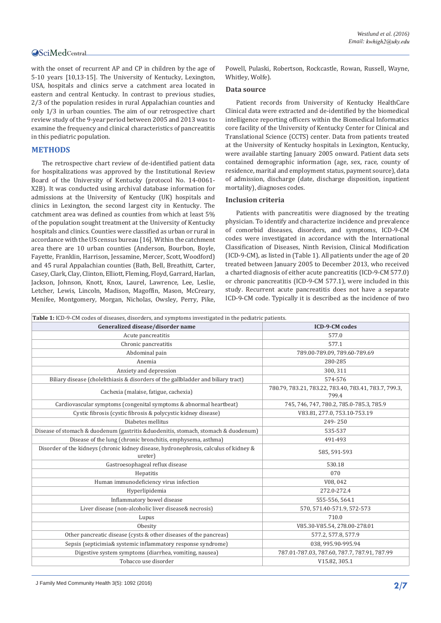with the onset of recurrent AP and CP in children by the age of 5-10 years [10,13-15]. The University of Kentucky, Lexington, USA, hospitals and clinics serve a catchment area located in eastern and central Kentucky. In contrast to previous studies, 2/3 of the population resides in rural Appalachian counties and only 1/3 in urban counties. The aim of our retrospective chart review study of the 9-year period between 2005 and 2013 was to examine the frequency and clinical characteristics of pancreatitis in this pediatric population.

# **METHODS**

The retrospective chart review of de-identified patient data for hospitalizations was approved by the Institutional Review Board of the University of Kentucky (protocol No. 14-0061- X2B). It was conducted using archival database information for admissions at the University of Kentucky (UK) hospitals and clinics in Lexington, the second largest city in Kentucky. The catchment area was defined as counties from which at least 5% of the population sought treatment at the University of Kentucky hospitals and clinics. Counties were classified as urban or rural in accordance with the US census bureau [16]. Within the catchment area there are 10 urban counties (Anderson, Bourbon, Boyle, Fayette, Franklin, Harrison, Jessamine, Mercer, Scott, Woodford) and 45 rural Appalachian counties (Bath, Bell, Breathitt, Carter, Casey, Clark, Clay, Clinton, Elliott, Fleming, Floyd, Garrard, Harlan, Jackson, Johnson, Knott, Knox, Laurel, Lawrence, Lee, Leslie, Letcher, Lewis, Lincoln, Madison, Magoffin, Mason, McCreary, Menifee, Montgomery, Morgan, Nicholas, Owsley, Perry, Pike,

Powell, Pulaski, Robertson, Rockcastle, Rowan, Russell, Wayne, Whitley, Wolfe).

#### **Data source**

Patient records from University of Kentucky HealthCare Clinical data were extracted and de-identified by the biomedical intelligence reporting officers within the Biomedical Informatics core facility of the University of Kentucky Center for Clinical and Translational Science (CCTS) center. Data from patients treated at the University of Kentucky hospitals in Lexington, Kentucky, were available starting January 2005 onward. Patient data sets contained demographic information (age, sex, race, county of residence, marital and employment status, payment source), data of admission, discharge (date, discharge disposition, inpatient mortality), diagnoses codes.

#### **Inclusion criteria**

Patients with pancreatitis were diagnosed by the treating physician. To identify and characterize incidence and prevalence of comorbid diseases, disorders, and symptoms, ICD-9-CM codes were investigated in accordance with the International Classification of Diseases, Ninth Revision, Clinical Modification (ICD-9-CM), as listed in (Table 1). All patients under the age of 20 treated between January 2005 to December 2013, who received a charted diagnosis of either acute pancreatitis (ICD-9-CM 577.0) or chronic pancreatitis (ICD-9-CM 577.1), were included in this study. Recurrent acute pancreatitis does not have a separate ICD-9-CM code. Typically it is described as the incidence of two

| Table 1: ICD-9-CM codes of diseases, disorders, and symptoms investigated in the pediatric patients. |                                                                |  |  |  |  |
|------------------------------------------------------------------------------------------------------|----------------------------------------------------------------|--|--|--|--|
| Generalized disease/disorder name                                                                    | <b>ICD-9-CM</b> codes                                          |  |  |  |  |
| Acute pancreatitis                                                                                   | 577.0                                                          |  |  |  |  |
| Chronic pancreatitis                                                                                 | 577.1                                                          |  |  |  |  |
| Abdominal pain                                                                                       | 789.00-789.09, 789.60-789.69                                   |  |  |  |  |
| Anemia                                                                                               | 280-285                                                        |  |  |  |  |
| Anxiety and depression                                                                               | 300, 311                                                       |  |  |  |  |
| Biliary disease (cholelithiasis & disorders of the gallbladder and biliary tract)                    | 574-576                                                        |  |  |  |  |
| Cachexia (malaise, fatigue, cachexia)                                                                | 780.79, 783.21, 783.22, 783.40, 783.41, 783.7, 799.3,<br>799.4 |  |  |  |  |
| Cardiovascular symptoms (congenital symptoms & abnormal heartbeat)                                   | 745, 746, 747, 780.2, 785.0-785.3, 785.9                       |  |  |  |  |
| Cystic fibrosis (cystic fibrosis & polycystic kidney disease)                                        | V83.81, 277.0, 753.10-753.19                                   |  |  |  |  |
| Diabetes mellitus                                                                                    | 249-250                                                        |  |  |  |  |
| Disease of stomach & duodenum (gastritis & duodenitis, stomach, stomach & duodenum)                  | 535-537                                                        |  |  |  |  |
| Disease of the lung (chronic bronchitis, emphysema, asthma)                                          | 491-493                                                        |  |  |  |  |
| Disorder of the kidneys (chronic kidney disease, hydronephrosis, calculus of kidney &<br>ureter)     | 585, 591-593                                                   |  |  |  |  |
| Gastroesophageal reflux disease                                                                      | 530.18                                                         |  |  |  |  |
| Hepatitis                                                                                            | 070                                                            |  |  |  |  |
| Human immunodeficiency virus infection                                                               | V08, 042                                                       |  |  |  |  |
| Hyperlipidemia                                                                                       | 272.0-272.4                                                    |  |  |  |  |
| Inflammatory bowel disease                                                                           | 555-556, 564.1                                                 |  |  |  |  |
| Liver disease (non-alcoholic liver disease& necrosis)                                                | 570, 571.40-571.9, 572-573                                     |  |  |  |  |
| Lupus                                                                                                | 710.0                                                          |  |  |  |  |
| Obesity                                                                                              | V85.30-V85.54, 278.00-278.01                                   |  |  |  |  |
| Other pancreatic disease (cysts & other diseases of the pancreas)                                    | 577.2, 577.8, 577.9                                            |  |  |  |  |
| Sepsis (septicimia& systemic inflammatory response syndrome)                                         | 038, 995.90-995.94                                             |  |  |  |  |
| Digestive system symptoms (diarrhea, vomiting, nausea)                                               | 787.01-787.03, 787.60, 787.7, 787.91, 787.99                   |  |  |  |  |
| Tobacco use disorder                                                                                 | V15.82, 305.1                                                  |  |  |  |  |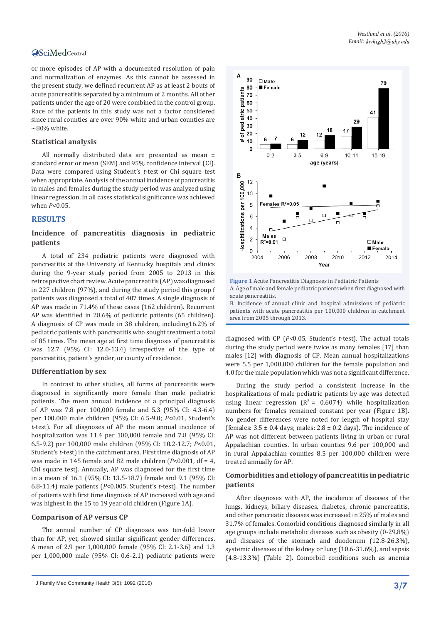or more episodes of AP with a documented resolution of pain and normalization of enzymes. As this cannot be assessed in the present study, we defined recurrent AP as at least 2 bouts of acute pancreatitis separated by a minimum of 2 months. All other patients under the age of 20 were combined in the control group. Race of the patients in this study was not a factor considered since rural counties are over 90% white and urban counties are  $\sim$ 80% white.

#### **Statistical analysis**

All normally distributed data are presented as mean ± standard error or mean (SEM) and 95% confidence interval (CI). Data were compared using Student's *t-*test or Chi square test when appropriate. Analysis of the annual incidence of pancreatitis in males and females during the study period was analyzed using linear regression. In all cases statistical significance was achieved when *P*<0.05.

#### **RESULTS**

### **Incidence of pancreatitis diagnosis in pediatric patients**

A total of 234 pediatric patients were diagnosed with pancreatitis at the University of Kentucky hospitals and clinics during the 9-year study period from 2005 to 2013 in this retrospective chart review. Acute pancreatitis (AP) was diagnosed in 227 children (97%), and during the study period this group f patients was diagnosed a total of 407 times. A single diagnosis of AP was made in 71.4% of these cases (162 children). Recurrent AP was identified in 28.6% of pediatric patients (65 children). A diagnosis of CP was made in 38 children, including16.2% of pediatric patients with pancreatitis who sought treatment a total of 85 times. The mean age at first time diagnosis of pancreatitis was 12.7 (95% CI: 12.0-13.4) irrespective of the type of pancreatitis, patient's gender, or county of residence.

#### **Differentiation by sex**

In contrast to other studies, all forms of pancreatitis were diagnosed in significantly more female than male pediatric patients. The mean annual incidence of a principal diagnosis of AP was 7.8 per 100,000 female and 5.3 (95% CI: 4.3-6.4) per 100,000 male children (95% CI: 6.5-9.0; *P*<0.01, Student's *t*-test). For all diagnoses of AP the mean annual incidence of hospitalization was 11.4 per 100,000 female and 7.8 (95% CI: 6.5-9.2) per 100,000 male children (95% CI: 10.2-12.7; *P*<0.01, Student's *t*-test) in the catchment area. First time diagnosis of AP was made in 145 female and 82 male children (*P*<0.001, df = 4, Chi square test). Annually, AP was diagnosed for the first time in a mean of 16.1 (95% CI: 13.5-18.7) female and 9.1 (95% CI: 6.8-11.4) male patients (*P*<0.005, Student's *t*-test). The number of patients with first time diagnosis of AP increased with age and was highest in the 15 to 19 year old children (Figure 1A).

#### **Comparison of AP versus CP**

The annual number of CP diagnoses was ten-fold lower than for AP, yet, showed similar significant gender differences. A mean of 2.9 per 1,000,000 female (95% CI: 2.1-3.6) and 1.3 per 1,000,000 male (95% CI: 0.6-2.1) pediatric patients were



**Figure 1** Acute Pancreatitis Diagnoses in Pediatric Patients A. Age of male and female pediatric patients when first diagnosed with acute pancreatitis. B. Incidence of annual clinic and hospital admissions of pediatric

patients with acute pancreatitis per 100,000 children in catchment area from 2005 through 2013.

diagnosed with CP (*P*<0.05, Student's *t*-test). The actual totals during the study period were twice as many females [17] than males [12] with diagnosis of CP. Mean annual hospitalizations were 5.5 per 1,000,000 children for the female population and 4.0 for the male population which was not a significant difference.

During the study period a consistent increase in the hospitalizations of male pediatric patients by age was detected using linear regression  $(R^2 = 0.6074)$  while hospitalization numbers for females remained constant per year (Figure 1B). No gender differences were noted for length of hospital stay (females:  $3.5 \pm 0.4$  days; males:  $2.8 \pm 0.2$  days). The incidence of AP was not different between patients living in urban or rural Appalachian counties. In urban counties 9.6 per 100,000 and in rural Appalachian counties 8.5 per 100,000 children were treated annually for AP.

#### **Comorbidities and etiology of pancreatitis in pediatric patients**

After diagnoses with AP, the incidence of diseases of the lungs, kidneys, biliary diseases, diabetes, chronic pancreatitis, and other pancreatic diseases was increased in 25% of males and 31.7% of females. Comorbid conditions diagnosed similarly in all age groups include metabolic diseases such as obesity (0-29.8%) and diseases of the stomach and duodenum (12.8-26.3%), systemic diseases of the kidney or lung (10.6-31.6%), and sepsis (4.8-13.3%) (Table 2). Comorbid conditions such as anemia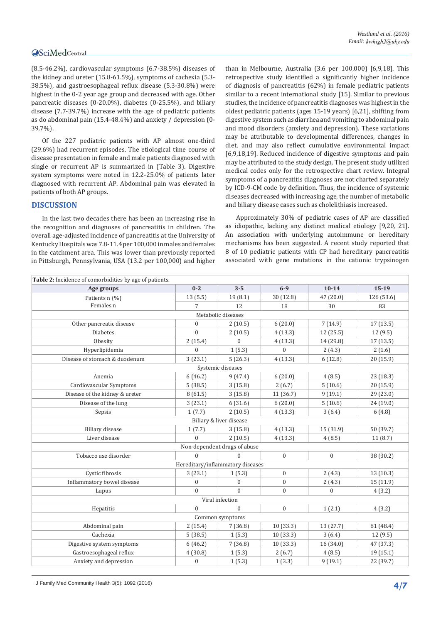(8.5-46.2%), cardiovascular symptoms (6.7-38.5%) diseases of the kidney and ureter (15.8-61.5%), symptoms of cachexia (5.3- 38.5%), and gastroesophageal reflux disease (5.3-30.8%) were highest in the 0-2 year age group and decreased with age. Other pancreatic diseases (0-20.0%), diabetes (0-25.5%), and biliary disease (7.7-39.7%) increase with the age of pediatric patients as do abdominal pain (15.4-48.4%) and anxiety / depression (0- 39.7%).

Of the 227 pediatric patients with AP almost one-third (29.6%) had recurrent episodes. The etiological time course of disease presentation in female and male patients diagnosed with single or recurrent AP is summarized in (Table 3). Digestive system symptoms were noted in 12.2-25.0% of patients later diagnosed with recurrent AP. Abdominal pain was elevated in patients of both AP groups.

#### **DISCUSSION**

In the last two decades there has been an increasing rise in the recognition and diagnoses of pancreatitis in children. The overall age-adjusted incidence of pancreatitis at the University of Kentucky Hospitals was 7.8-11.4 per 100,000 in males and females in the catchment area. This was lower than previously reported in Pittsburgh, Pennsylvania, USA (13.2 per 100,000) and higher

than in Melbourne, Australia (3.6 per 100,000) [6,9,18]. This retrospective study identified a significantly higher incidence of diagnosis of pancreatitis (62%) in female pediatric patients similar to a recent international study [15]. Similar to previous studies, the incidence of pancreatitis diagnoses was highest in the oldest pediatric patients (ages 15-19 years) [6,21], shifting from digestive system such as diarrhea and vomiting to abdominal pain and mood disorders (anxiety and depression). These variations may be attributable to developmental differences, changes in diet, and may also reflect cumulative environmental impact [6,9,18,19]. Reduced incidence of digestive symptoms and pain may be attributed to the study design. The present study utilized medical codes only for the retrospective chart review. Integral symptoms of a pancreatitis diagnoses are not charted separately by ICD-9-CM code by definition. Thus, the incidence of systemic diseases decreased with increasing age, the number of metabolic and biliary disease cases such as cholelithiasis increased.

Approximately 30% of pediatric cases of AP are classified as idiopathic, lacking any distinct medical etiology [9,20, 21]. An association with underlying autoimmune or hereditary mechanisms has been suggested. A recent study reported that 8 of 10 pediatric patients with CP had hereditary pancreatitis associated with gene mutations in the cationic trypsinogen

| Table 2: Incidence of comorbidities by age of patients. |                  |                                  |                  |                  |            |  |  |  |  |
|---------------------------------------------------------|------------------|----------------------------------|------------------|------------------|------------|--|--|--|--|
| Age groups                                              | $0 - 2$          | $3 - 5$                          | $6 - 9$          | $10-14$          | $15 - 19$  |  |  |  |  |
| Patients n (%)                                          | 13(5.5)          | 19(8.1)                          | 30 (12.8)        | 47 (20.0)        | 126 (53.6) |  |  |  |  |
| Females n                                               | 7                | 12                               | 18               | 30               | 83         |  |  |  |  |
| Metabolic diseases                                      |                  |                                  |                  |                  |            |  |  |  |  |
| Other pancreatic disease                                | $\boldsymbol{0}$ | 2(10.5)                          | 6(20.0)          | 7(14.9)          | 17(13.5)   |  |  |  |  |
| <b>Diabetes</b>                                         | $\Omega$         | 2(10.5)                          | 4(13.3)          | 12 (25.5)        | 12(9.5)    |  |  |  |  |
| Obesity                                                 | 2(15.4)          | $\overline{0}$                   | 4(13.3)          | 14 (29.8)        | 17(13.5)   |  |  |  |  |
| Hyperlipidemia                                          | $\mathbf{0}$     | 1(5.3)                           | $\overline{0}$   | 2(4.3)           | 2(1.6)     |  |  |  |  |
| Disease of stomach & duodenum                           | 3(23.1)          | 5(26.3)                          | 4(13.3)          | 6(12.8)          | 20 (15.9)  |  |  |  |  |
| Systemic diseases                                       |                  |                                  |                  |                  |            |  |  |  |  |
| Anemia                                                  | 6(46.2)          | 9(47.4)                          | 6(20.0)          | 4(8.5)           | 23 (18.3)  |  |  |  |  |
| Cardiovascular Symptoms                                 | 5(38.5)          | 3(15.8)                          | 2(6.7)           | 5(10.6)          | 20 (15.9)  |  |  |  |  |
| Disease of the kidney & ureter                          | 8(61.5)          | 3(15.8)                          | 11 (36.7)        | 9(19.1)          | 29 (23.0)  |  |  |  |  |
| Disease of the lung                                     | 3(23.1)          | 6(31.6)                          | 6(20.0)          | 5(10.6)          | 24 (19.0)  |  |  |  |  |
| Sepsis                                                  | 1(7.7)           | 2(10.5)                          | 4(13.3)          | 3(6.4)           | 6(4.8)     |  |  |  |  |
|                                                         |                  | Biliary & liver disease          |                  |                  |            |  |  |  |  |
| Biliary disease                                         | 1(7.7)           | 3(15.8)                          | 4(13.3)          | 15 (31.9)        | 50 (39.7)  |  |  |  |  |
| Liver disease                                           | $\Omega$         | 2(10.5)                          | 4(13.3)          | 4(8.5)           | 11(8.7)    |  |  |  |  |
|                                                         |                  | Non-dependent drugs of abuse     |                  |                  |            |  |  |  |  |
| Tobacco use disorder                                    | $\mathbf{0}$     | $\overline{0}$                   | $\boldsymbol{0}$ | $\boldsymbol{0}$ | 38 (30.2)  |  |  |  |  |
|                                                         |                  | Hereditary/inflammatory diseases |                  |                  |            |  |  |  |  |
| Cystic fibrosis                                         | 3(23.1)          | 1(5.3)                           | $\boldsymbol{0}$ | 2(4.3)           | 13 (10.3)  |  |  |  |  |
| Inflammatory bowel disease                              | $\Omega$         | $\overline{0}$                   | $\overline{0}$   | 2(4.3)           | 15 (11.9)  |  |  |  |  |
| Lupus                                                   | $\mathbf{0}$     | $\overline{0}$                   | $\overline{0}$   | $\mathbf{0}$     | 4(3.2)     |  |  |  |  |
|                                                         |                  | Viral infection                  |                  |                  |            |  |  |  |  |
| Hepatitis                                               | $\Omega$         | $\overline{0}$                   | $\boldsymbol{0}$ | 1(2.1)           | 4(3.2)     |  |  |  |  |
|                                                         |                  | Common symptoms                  |                  |                  |            |  |  |  |  |
| Abdominal pain                                          | 2(15.4)          | 7(36.8)                          | 10(33.3)         | 13 (27.7)        | 61 (48.4)  |  |  |  |  |
| Cachexia                                                | 5(38.5)          | 1(5.3)                           | 10(33.3)         | 3(6.4)           | 12 (9.5)   |  |  |  |  |
| Digestive system symptoms                               | 6(46.2)          | 7(36.8)                          | 10(33.3)         | 16(34.0)         | 47 (37.3)  |  |  |  |  |
| Gastroesophageal reflux                                 | 4(30.8)          | 1(5.3)                           | 2(6.7)           | 4(8.5)           | 19 (15.1)  |  |  |  |  |
| Anxiety and depression                                  | $\boldsymbol{0}$ | 1(5.3)                           | 1(3.3)           | 9(19.1)          | 22 (39.7)  |  |  |  |  |

J Family Med Community Health 3(5): 1092 (2016) **4/7**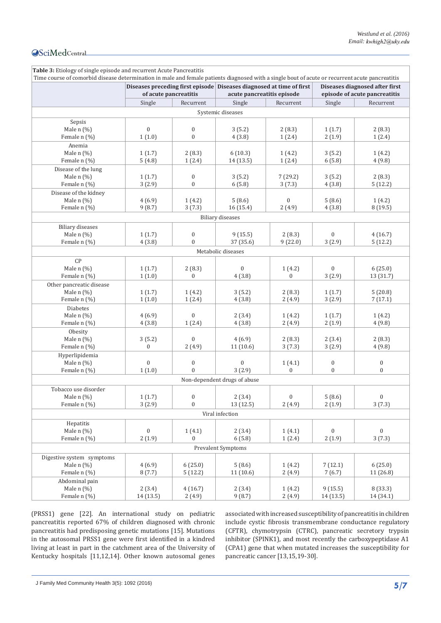| Time course of comorbid disease determination in male and female patients diagnosed with a single bout of acute or recurrent acute pancreatitis |                       |                                    |                                                                                                    |                  |                                                                 |                                      |
|-------------------------------------------------------------------------------------------------------------------------------------------------|-----------------------|------------------------------------|----------------------------------------------------------------------------------------------------|------------------|-----------------------------------------------------------------|--------------------------------------|
|                                                                                                                                                 | of acute pancreatitis |                                    | Diseases preceding first episode Diseases diagnosed at time of first<br>acute pancreatitis episode |                  | Diseases diagnosed after first<br>episode of acute pancreatitis |                                      |
|                                                                                                                                                 | Single                | Recurrent                          | Single                                                                                             | Recurrent        | Single                                                          | Recurrent                            |
|                                                                                                                                                 |                       |                                    | Systemic diseases                                                                                  |                  |                                                                 |                                      |
| Sepsis                                                                                                                                          |                       |                                    |                                                                                                    |                  |                                                                 |                                      |
| Male $n$ $(\%)$                                                                                                                                 | $\boldsymbol{0}$      | $\boldsymbol{0}$                   | 3(5.2)                                                                                             | 2(8.3)           | 1(1.7)                                                          | 2(8.3)                               |
| Female n (%)                                                                                                                                    | 1(1.0)                | $\boldsymbol{0}$                   | 4(3.8)                                                                                             | 1(2.4)           | 2(1.9)                                                          | 1(2.4)                               |
| Anemia                                                                                                                                          |                       |                                    |                                                                                                    |                  |                                                                 |                                      |
| Male n (%)                                                                                                                                      | 1(1.7)                | 2(8.3)                             | 6(10.3)                                                                                            | 1(4.2)           | 3(5.2)                                                          | 1 (4.2)                              |
| Female n (%)                                                                                                                                    | 5(4.8)                | 1(2.4)                             | 14 (13.5)                                                                                          | 1(2.4)           | 6(5.8)                                                          | 4(9.8)                               |
| Disease of the lung                                                                                                                             |                       |                                    |                                                                                                    |                  |                                                                 |                                      |
| Male n (%)                                                                                                                                      | 1(1.7)                | $\boldsymbol{0}$                   | 3(5.2)                                                                                             | 7(29.2)          | 3(5.2)                                                          | 2(8.3)                               |
| Female n (%)                                                                                                                                    | 3(2.9)                | $\boldsymbol{0}$                   | 6(5.8)                                                                                             | 3(7.3)           | 4(3.8)                                                          | 5(12.2)                              |
| Disease of the kidney                                                                                                                           |                       |                                    |                                                                                                    |                  |                                                                 |                                      |
| Male $n$ $(\%)$                                                                                                                                 | 4(6.9)                | 1(4.2)                             | 5(8.6)                                                                                             | $\boldsymbol{0}$ | 5(8.6)                                                          | 1(4.2)                               |
| Female n (%)                                                                                                                                    | 9(8.7)                | 3(7.3)                             | 16(15.4)                                                                                           | 2(4.9)           | 4(3.8)                                                          | 8(19.5)                              |
|                                                                                                                                                 |                       |                                    |                                                                                                    |                  |                                                                 |                                      |
|                                                                                                                                                 |                       |                                    | <b>Biliary diseases</b>                                                                            |                  |                                                                 |                                      |
| <b>Biliary</b> diseases                                                                                                                         |                       |                                    |                                                                                                    |                  |                                                                 |                                      |
| Male $n$ $(\%)$                                                                                                                                 | 1(1.7)                | $\boldsymbol{0}$                   | 9(15.5)                                                                                            | 2(8.3)           | $\boldsymbol{0}$                                                | 4(16.7)                              |
| Female n (%)                                                                                                                                    | 4(3.8)                | $\overline{0}$                     | 37 (35.6)                                                                                          | 9(22.0)          | 3(2.9)                                                          | 5(12.2)                              |
|                                                                                                                                                 |                       |                                    | Metabolic diseases                                                                                 |                  |                                                                 |                                      |
| CP                                                                                                                                              |                       |                                    |                                                                                                    |                  |                                                                 |                                      |
| Male $n$ (%)                                                                                                                                    | 1(1.7)                | 2(8.3)                             | $\mathbf{0}$                                                                                       | 1(4.2)           | $\mathbf{0}$                                                    | 6(25.0)                              |
| Female n (%)                                                                                                                                    | 1(1.0)                | $\boldsymbol{0}$                   | 4(3.8)                                                                                             | $\mathbf{0}$     | 3(2.9)                                                          | 13 (31.7)                            |
| Other pancreatic disease                                                                                                                        |                       |                                    |                                                                                                    |                  |                                                                 |                                      |
| Male $n$ $(\%)$                                                                                                                                 | 1(1.7)                | 1(4.2)                             | 3(5.2)                                                                                             | 2(8.3)           | 1(1.7)                                                          | 5(20.8)                              |
| Female n (%)                                                                                                                                    | 1(1.0)                | 1(2.4)                             | 4(3.8)                                                                                             | 2(4.9)           | 3(2.9)                                                          | 7(17.1)                              |
| Diabetes                                                                                                                                        |                       |                                    |                                                                                                    |                  |                                                                 |                                      |
| Male n (%)                                                                                                                                      | 4(6.9)                | $\boldsymbol{0}$                   | 2(3.4)                                                                                             | 1(4.2)           | 1(1.7)                                                          | 1(4.2)                               |
| Female n (%)                                                                                                                                    | 4(3.8)                | 1(2.4)                             | 4(3.8)                                                                                             | 2(4.9)           | 2(1.9)                                                          | 4(9.8)                               |
| Obesity                                                                                                                                         |                       |                                    |                                                                                                    |                  |                                                                 |                                      |
| Male $n$ $(\%)$                                                                                                                                 | 3(5.2)                | $\mathbf{0}$                       | 4(6.9)                                                                                             | 2(8.3)           | 2(3.4)                                                          | 2(8.3)                               |
| Female n (%)                                                                                                                                    | $\boldsymbol{0}$      | 2(4.9)                             | 11(10.6)                                                                                           | 3(7.3)           | 3(2.9)                                                          | 4(9.8)                               |
|                                                                                                                                                 |                       |                                    |                                                                                                    |                  |                                                                 |                                      |
| Hyperlipidemia                                                                                                                                  |                       |                                    |                                                                                                    |                  |                                                                 |                                      |
| Male $n$ $(\%)$                                                                                                                                 | $\boldsymbol{0}$      | $\boldsymbol{0}$<br>$\overline{0}$ | $\overline{0}$                                                                                     | 1(4.1)           | $\boldsymbol{0}$<br>$\mathbf{0}$                                | $\boldsymbol{0}$<br>$\boldsymbol{0}$ |
| Female n (%)                                                                                                                                    | 1(1.0)                |                                    | 3(2.9)                                                                                             | $\mathbf{0}$     |                                                                 |                                      |
|                                                                                                                                                 |                       |                                    | Non-dependent drugs of abuse                                                                       |                  |                                                                 |                                      |
| Tobacco use disorder                                                                                                                            |                       |                                    |                                                                                                    |                  |                                                                 |                                      |
| Male $n$ (%)                                                                                                                                    | 1(1.7)                | $\mathbf{0}$                       | 2(3.4)                                                                                             | $\boldsymbol{0}$ | 5(8.6)                                                          | $\boldsymbol{0}$                     |
| Female n (%)                                                                                                                                    | 3(2.9)                | $\boldsymbol{0}$                   | 13(12.5)                                                                                           | 2(4.9)           | 2(1.9)                                                          | 3(7.3)                               |
|                                                                                                                                                 |                       |                                    | Viral infection                                                                                    |                  |                                                                 |                                      |
| Hepatitis                                                                                                                                       |                       |                                    |                                                                                                    |                  |                                                                 |                                      |
| Male n (%)                                                                                                                                      | $\boldsymbol{0}$      | 1(4.1)                             | 2(3.4)                                                                                             | 1(4.1)           | $\mathbf{0}$                                                    | $\boldsymbol{0}$                     |
| Female n (%)                                                                                                                                    | 2(1.9)                | $\overline{0}$                     | 6(5.8)                                                                                             | 1(2.4)           | 2(1.9)                                                          | 3(7.3)                               |
|                                                                                                                                                 |                       |                                    | <b>Prevalent Symptoms</b>                                                                          |                  |                                                                 |                                      |
| Digestive system symptoms                                                                                                                       |                       |                                    |                                                                                                    |                  |                                                                 |                                      |
| Male $n$ $(\%)$                                                                                                                                 | 4(6.9)                |                                    |                                                                                                    |                  |                                                                 | 6(25.0)                              |
|                                                                                                                                                 |                       | 6(25.0)                            | 5(8.6)                                                                                             | 1(4.2)           | 7(12.1)                                                         |                                      |
| Female n (%)                                                                                                                                    | 8(7.7)                | 5(12.2)                            | 11 (10.6)                                                                                          | 2(4.9)           | 7(6.7)                                                          | 11 (26.8)                            |
| Abdominal pain                                                                                                                                  |                       |                                    |                                                                                                    |                  |                                                                 |                                      |
| Male n (%)                                                                                                                                      | 2(3.4)                | 4(16.7)                            | 2(3.4)                                                                                             | 1(4.2)           | 9(15.5)                                                         | 8 (33.3)                             |
| Female n (%)                                                                                                                                    | 14 (13.5)             | 2(4.9)                             | 9(8.7)                                                                                             | 2(4.9)           | 14 (13.5)                                                       | 14 (34.1)                            |

(PRSS1) gene [22]. An international study on pediatric pancreatitis reported 67% of children diagnosed with chronic pancreatitis had predisposing genetic mutations [15]. Mutations in the autosomal PRSS1 gene were first identified in a kindred living at least in part in the catchment area of the University of Kentucky hospitals [11,12,14]. Other known autosomal genes associated with increased susceptibility of pancreatitis in children include cystic fibrosis transmembrane conductance regulatory (CFTR), chymotrypsin (CTRC), pancreatic secretory trypsin inhibitor (SPINK1), and most recently the carboxypeptidase A1 (CPA1) gene that when mutated increases the susceptibility for pancreatic cancer [13,15,19-30].

J Family Med Community Health 3(5): 1092 (2016) **5/7**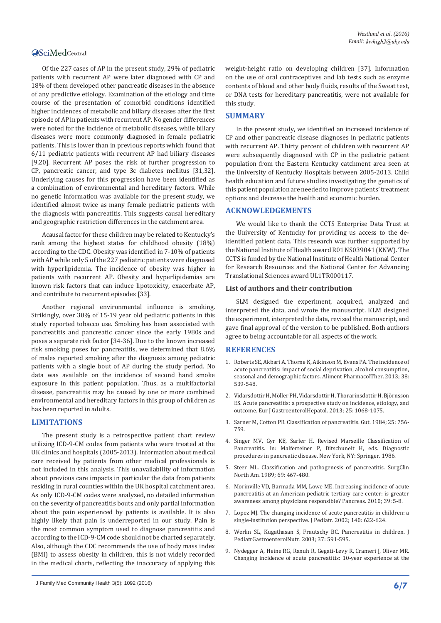Of the 227 cases of AP in the present study, 29% of pediatric patients with recurrent AP were later diagnosed with CP and 18% of them developed other pancreatic diseases in the absence of any predictive etiology. Examination of the etiology and time course of the presentation of comorbid conditions identified higher incidences of metabolic and biliary diseases after the first episode of AP in patients with recurrent AP. No gender differences were noted for the incidence of metabolic diseases, while biliary diseases were more commonly diagnosed in female pediatric patients. This is lower than in previous reports which found that 6/11 pediatric patients with recurrent AP had biliary diseases [9,20]. Recurrent AP poses the risk of further progression to CP, pancreatic cancer, and type 3c diabetes mellitus [31,32]. Underlying causes for this progression have been identified as a combination of environmental and hereditary factors. While no genetic information was available for the present study, we identified almost twice as many female pediatric patients with the diagnosis with pancreatitis. This suggests causal hereditary and geographic restriction differences in the catchment area.

Acausal factor for these children may be related to Kentucky's rank among the highest states for childhood obesity (18%) according to the CDC. Obesity was identified in 7-10% of patients with AP while only 5 of the 227 pediatric patients were diagnosed with hyperlipidemia. The incidence of obesity was higher in patients with recurrent AP. Obesity and hyperlipidemias are known risk factors that can induce lipotoxicity, exacerbate AP, and contribute to recurrent episodes [33].

Another regional environmental influence is smoking. Strikingly, over 30% of 15-19 year old pediatric patients in this study reported tobacco use. Smoking has been associated with pancreatitis and pancreatic cancer since the early 1980s and poses a separate risk factor [34-36]. Due to the known increased risk smoking poses for pancreatitis, we determined that 8.6% of males reported smoking after the diagnosis among pediatric patients with a single bout of AP during the study period. No data was available on the incidence of second hand smoke exposure in this patient population. Thus, as a multifactorial disease, pancreatitis may be caused by one or more combined environmental and hereditary factors in this group of children as has been reported in adults.

#### **LIMITATIONS**

The present study is a retrospective patient chart review utilizing ICD-9-CM codes from patients who were treated at the UK clinics and hospitals (2005-2013). Information about medical care received by patients from other medical professionals is not included in this analysis. This unavailability of information about previous care impacts in particular the data from patients residing in rural counties within the UK hospital catchment area. As only ICD-9-CM codes were analyzed, no detailed information on the severity of pancreatitis bouts and only partial information about the pain experienced by patients is available. It is also highly likely that pain is underreported in our study. Pain is the most common symptom used to diagnose pancreatitis and according to the ICD-9-CM code should not be charted separately. Also, although the CDC recommends the use of body mass index (BMI) to assess obesity in children, this is not widely recorded in the medical charts, reflecting the inaccuracy of applying this weight-height ratio on developing children [37]. Information on the use of oral contraceptives and lab tests such as enzyme contents of blood and other body fluids, results of the Sweat test, or DNA tests for hereditary pancreatitis, were not available for this study.

#### **SUMMARY**

In the present study, we identified an increased incidence of CP and other pancreatic disease diagnoses in pediatric patients with recurrent AP. Thirty percent of children with recurrent AP were subsequently diagnosed with CP in the pediatric patient population from the Eastern Kentucky catchment area seen at the University of Kentucky Hospitals between 2005-2013. Child health education and future studies investigating the genetics of this patient population are needed to improve patients' treatment options and decrease the health and economic burden.

#### **ACKNOWLEDGEMENTS**

We would like to thank the CCTS Enterprise Data Trust at the University of Kentucky for providing us access to the deidentified patient data. This research was further supported by the National Institute of Health award R01 NS039041 (KNW). The CCTS is funded by the National Institute of Health National Center for Research Resources and the National Center for Advancing Translational Sciences award UL1TR000117.

#### **List of authors and their contribution**

SLM designed the experiment, acquired, analyzed and interpreted the data, and wrote the manuscript. KLM designed the experiment, interpreted the data, revised the manuscript, and gave final approval of the version to be published. Both authors agree to being accountable for all aspects of the work.

#### **REFERENCES**

- 1. [Roberts SE, Akbari A, Thorne K, Atkinson M, Evans PA. The incidence of](https://www.ncbi.nlm.nih.gov/pubmed/23859492)  [acute pancreatitis: impact of social deprivation, alcohol consumption,](https://www.ncbi.nlm.nih.gov/pubmed/23859492)  [seasonal and demographic factors. Aliment PharmacolTher. 2013; 38:](https://www.ncbi.nlm.nih.gov/pubmed/23859492)  [539-548.](https://www.ncbi.nlm.nih.gov/pubmed/23859492)
- 2. [Vidarsdottir H, Möller PH, Vidarsdottir H, Thorarinsdottir H, Björnsson](https://www.ncbi.nlm.nih.gov/pubmed/23839162)  [ES. Acute pancreatitis: a prospective study on incidence, etiology, and](https://www.ncbi.nlm.nih.gov/pubmed/23839162)  [outcome. Eur J GastroenterolHepatol. 2013; 25: 1068-1075.](https://www.ncbi.nlm.nih.gov/pubmed/23839162)
- 3. [Sarner M, Cotton PB. Classification of pancreatitis. Gut. 1984; 25: 756-](http://gut.bmj.com/content/25/7/756.full.pdf) [759.](http://gut.bmj.com/content/25/7/756.full.pdf)
- 4. [Singer MV, Gyr KE, Sarler H. Revised Marseille Classification of](http://link.springer.com/chapter/10.1007%2F978-3-642-71128-2_1)  [Pancreatitis. In: Malferteiner P, Ditschuneit H, eds. Diagnostic](http://link.springer.com/chapter/10.1007%2F978-3-642-71128-2_1)  [procedures in pancreatic disease. New York, NY: Springer. 1986.](http://link.springer.com/chapter/10.1007%2F978-3-642-71128-2_1)
- 5. [Steer ML. Classification and pathogenesis of pancreatitis. SurgClin](https://www.ncbi.nlm.nih.gov/pubmed/2658159)  [North Am. 1989; 69: 467-480.](https://www.ncbi.nlm.nih.gov/pubmed/2658159)
- 6. [Morinville VD, Barmada MM, Lowe ME. Increasing incidence of acute](https://www.ncbi.nlm.nih.gov/pubmed/19752770)  [pancreatitis at an American pediatric tertiary care center: is greater](https://www.ncbi.nlm.nih.gov/pubmed/19752770)  [awareness among physicians responsible? Pancreas. 2010; 39: 5-8.](https://www.ncbi.nlm.nih.gov/pubmed/19752770)
- 7. [Lopez MJ. The changing incidence of acute pancreatitis in children: a](https://www.ncbi.nlm.nih.gov/pubmed/12032533)  [single-institution perspective. J Pediatr. 2002; 140: 622-624.](https://www.ncbi.nlm.nih.gov/pubmed/12032533)
- 8. [Werlin SL, Kugathasan S, Frautschy BC. Pancreatitis in children. J](https://www.ncbi.nlm.nih.gov/pubmed/14581803)  [PediatrGastroenterolNutr. 2003; 37: 591-595.](https://www.ncbi.nlm.nih.gov/pubmed/14581803)
- 9. [Nydegger A, Heine RG, Ranuh R, Gegati-Levy R, Crameri J, Oliver MR.](https://www.ncbi.nlm.nih.gov/pubmed/17489962)  [Changing incidence of acute pancreatitis: 10-year experience at the](https://www.ncbi.nlm.nih.gov/pubmed/17489962)